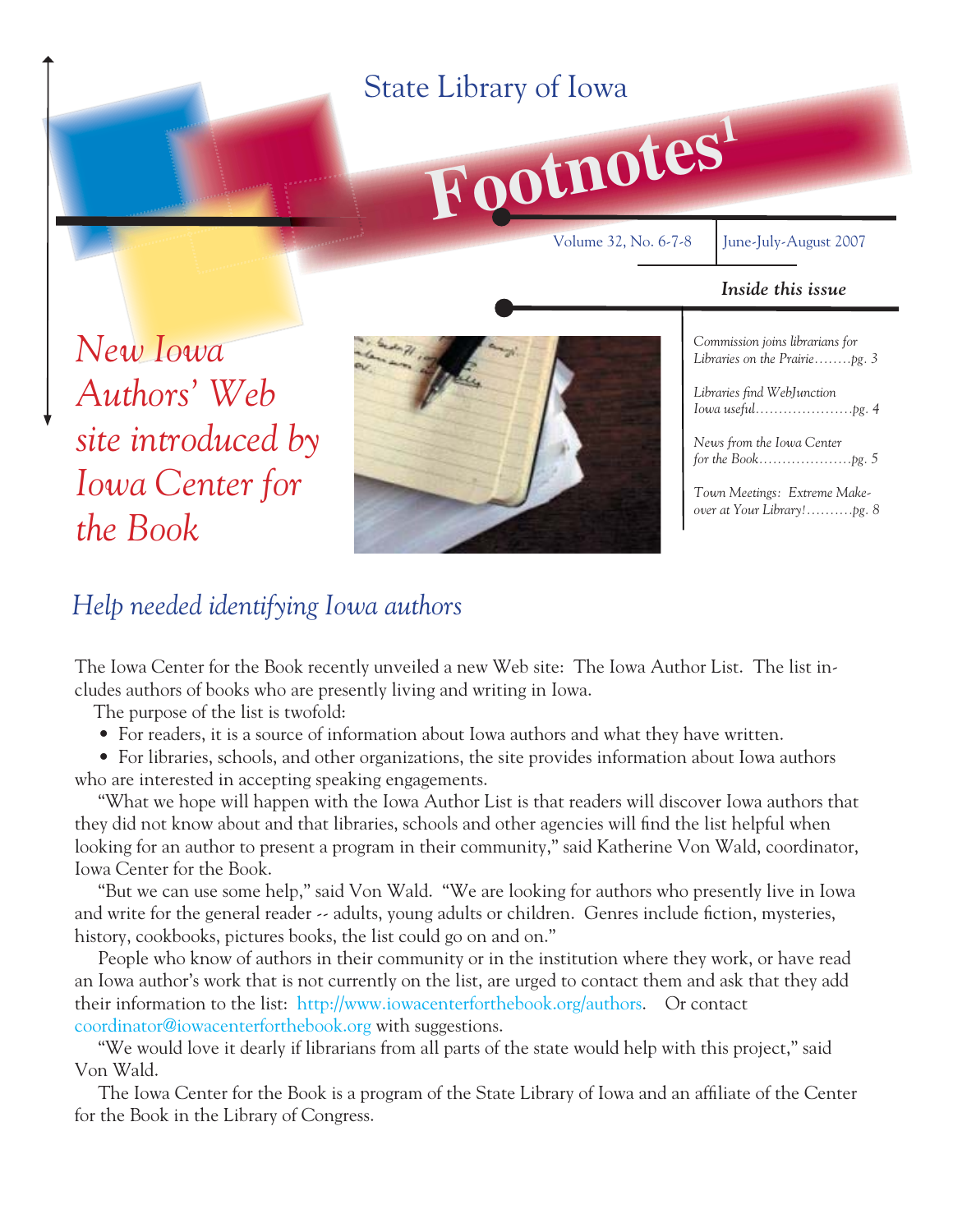### **Footnotes<sup>1</sup>** State Library of Iowa Volume 32, No. 6-7-8 June-July-August 2007 *Inside this issue Commission joins librarians for Libraries on the Prairie........pg. 3* Libraries find WebJunction *Iowa useful.....................pg. 4 News from the Iowa Center for the Book....................pg. 5 New Iowa Authors' Web site introduced by*

*Town Meetings: Extreme Makeover at Your Library!..........pg. 8*

*Iowa Center for the Book*



*Help needed identifying Iowa authors*

The Iowa Center for the Book recently unveiled a new Web site: The Iowa Author List. The list includes authors of books who are presently living and writing in Iowa.

The purpose of the list is twofold:

• For readers, it is a source of information about Iowa authors and what they have written.

 • For libraries, schools, and other organizations, the site provides information about Iowa authors who are interested in accepting speaking engagements.

 "What we hope will happen with the Iowa Author List is that readers will discover Iowa authors that they did not know about and that libraries, schools and other agencies will find the list helpful when looking for an author to present a program in their community," said Katherine Von Wald, coordinator, Iowa Center for the Book.

 "But we can use some help," said Von Wald. "We are looking for authors who presently live in Iowa and write for the general reader  $\sim$  adults, young adults or children. Genres include fiction, mysteries, history, cookbooks, pictures books, the list could go on and on."

 People who know of authors in their community or in the institution where they work, or have read an Iowa author's work that is not currently on the list, are urged to contact them and ask that they add their information to the list: [http://www.iowacenterforthebook.org/authors.](http://www.iowacenterforthebook.org/authors) Or contact [coordinator@iowacenterforthebook.org](mailto:coordinator@iowacenterforthebook.org) with suggestions.

 "We would love it dearly if librarians from all parts of the state would help with this project," said Von Wald.

The Iowa Center for the Book is a program of the State Library of Iowa and an affiliate of the Center for the Book in the Library of Congress.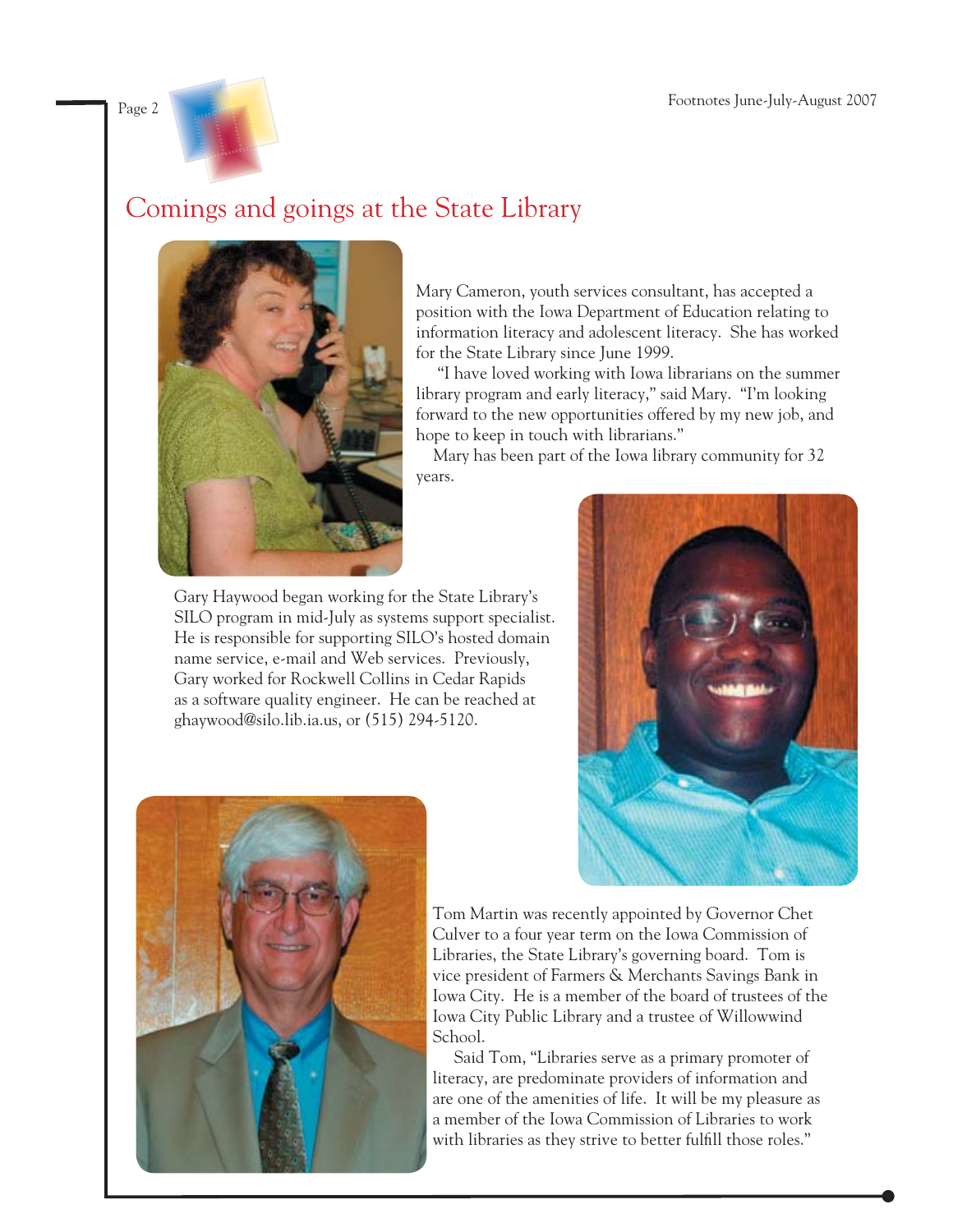

### Comings and goings at the State Library



Mary Cameron, youth services consultant, has accepted a position with the Iowa Department of Education relating to information literacy and adolescent literacy. She has worked for the State Library since June 1999.

 "I have loved working with Iowa librarians on the summer library program and early literacy," said Mary. "I'm looking forward to the new opportunities offered by my new job, and hope to keep in touch with librarians."

 Mary has been part of the Iowa library community for 32 years.

Gary Haywood began working for the State Library's SILO program in mid-July as systems support specialist. He is responsible for supporting SILO's hosted domain name service, e-mail and Web services. Previously, Gary worked for Rockwell Collins in Cedar Rapids as a software quality engineer. He can be reached at ghaywood@silo.lib.ia.us, or (515) 294-5120.





Tom Martin was recently appointed by Governor Chet Culver to a four year term on the Iowa Commission of Libraries, the State Library's governing board. Tom is vice president of Farmers & Merchants Savings Bank in Iowa City. He is a member of the board of trustees of the Iowa City Public Library and a trustee of Willowwind School.

 Said Tom, "Libraries serve as a primary promoter of literacy, are predominate providers of information and are one of the amenities of life. It will be my pleasure as a member of the Iowa Commission of Libraries to work with libraries as they strive to better fulfill those roles."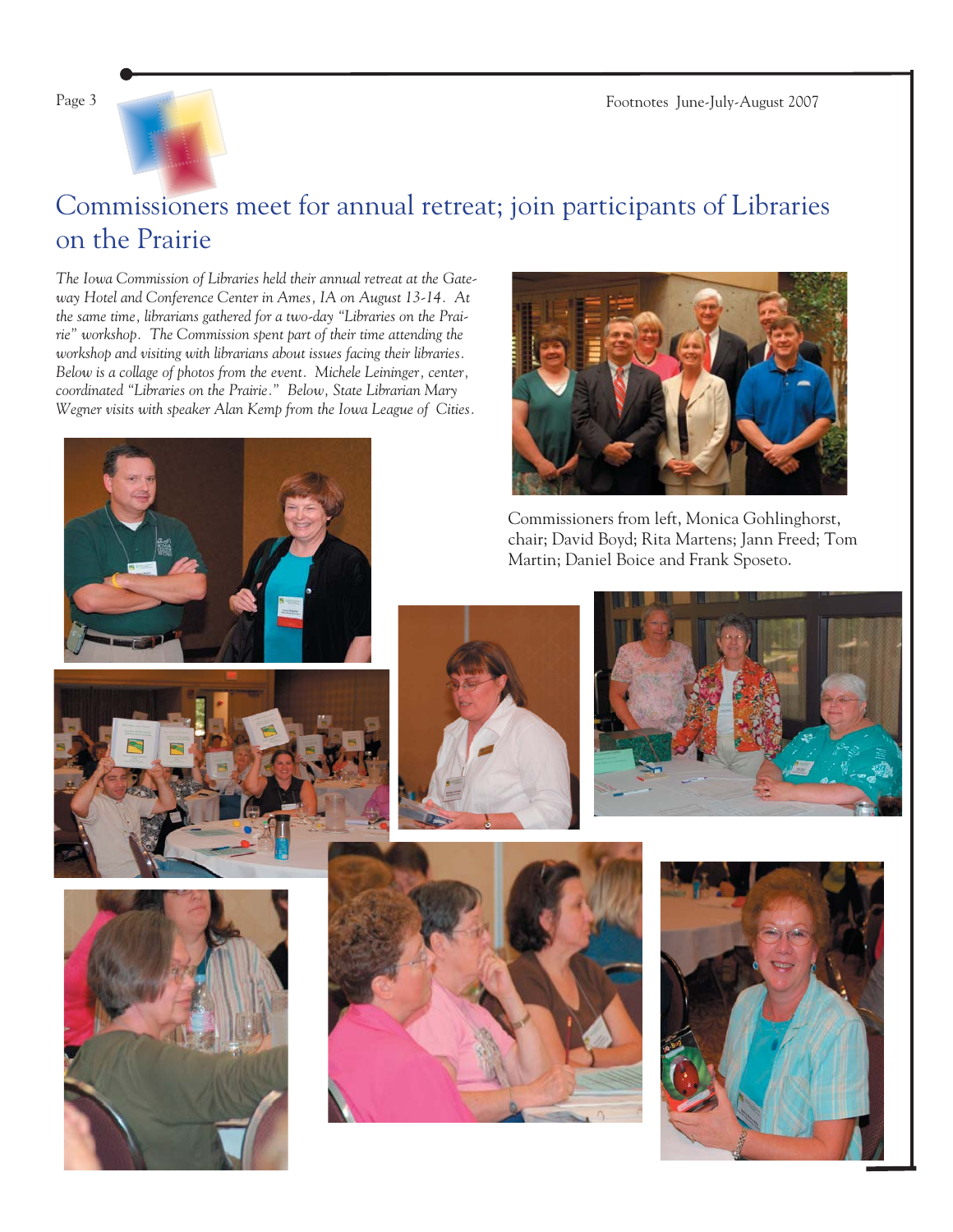Page 3 Footnotes June-July-August 2007



### Commissioners meet for annual retreat; join participants of Libraries on the Prairie

*The Iowa Commission of Libraries held their annual retreat at the Gateway Hotel and Conference Center in Ames, IA on August 13-14. At the same time, librarians gathered for a two-day "Libraries on the Prairie" workshop. The Commission spent part of their time attending the workshop and visiting with librarians about issues facing their libraries. Below is a collage of photos from the event. Michele Leininger, center, coordinated "Libraries on the Prairie." Below, State Librarian Mary Wegner visits with speaker Alan Kemp from the Iowa League of Cities.*







Commissioners from left, Monica Gohlinghorst, chair; David Boyd; Rita Martens; Jann Freed; Tom Martin; Daniel Boice and Frank Sposeto.







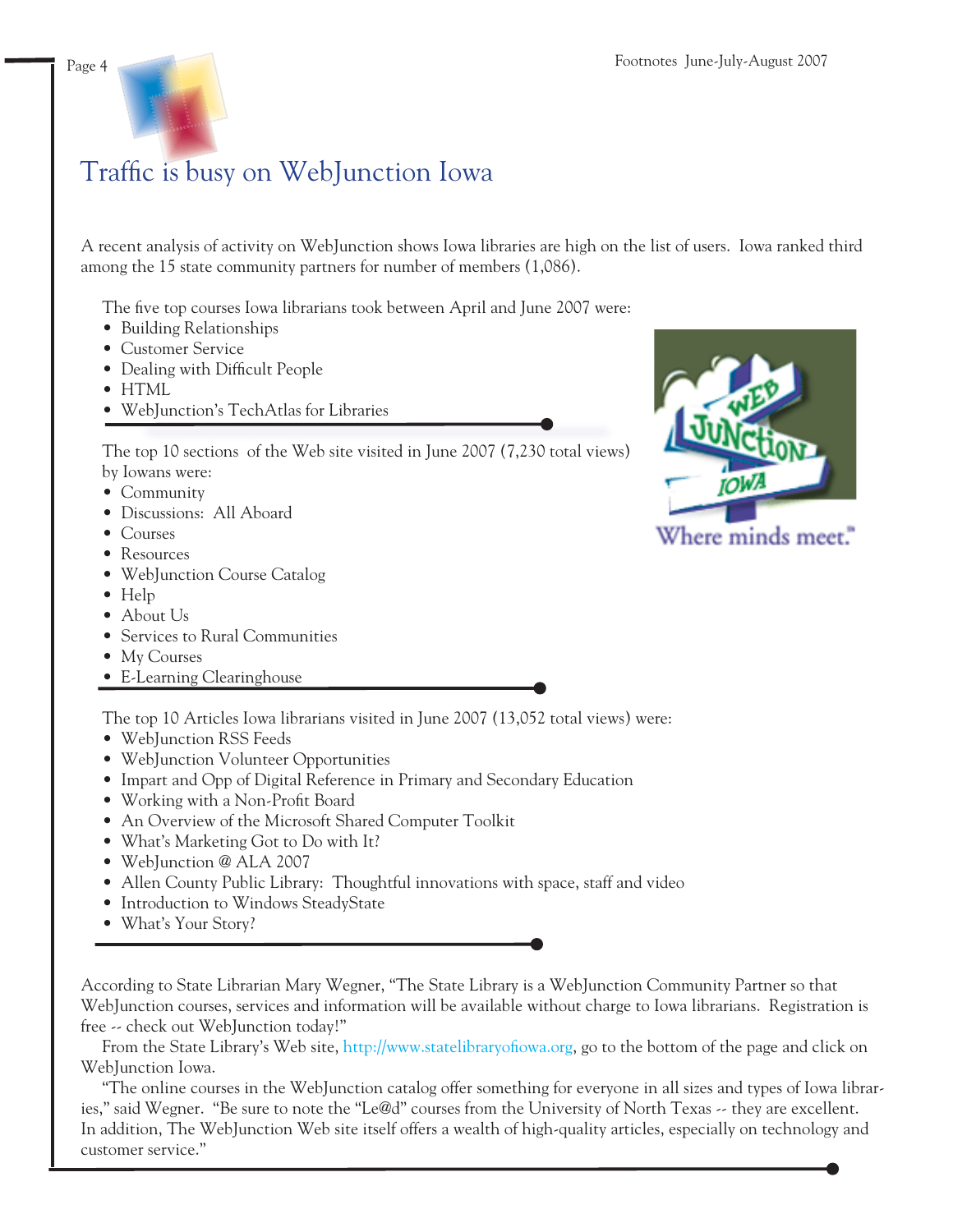

## Traffic is busy on WebJunction Iowa

A recent analysis of activity on WebJunction shows Iowa libraries are high on the list of users. Iowa ranked third among the 15 state community partners for number of members (1,086).

The five top courses Iowa librarians took between April and June 2007 were:

- Building Relationships
- Customer Service
- Dealing with Difficult People
- HTML
- WebJunction's TechAtlas for Libraries

 The top 10 sections of the Web site visited in June 2007 (7,230 total views) by Iowans were:

- Community
- Discussions: All Aboard
- Courses
- Resources
- WebJunction Course Catalog
- Help
- About Us
- Services to Rural Communities
- My Courses
- E-Learning Clearinghouse

The top 10 Articles Iowa librarians visited in June 2007 (13,052 total views) were:

- WebJunction RSS Feeds
- WebJunction Volunteer Opportunities
- Impart and Opp of Digital Reference in Primary and Secondary Education
- Working with a Non-Profit Board
- An Overview of the Microsoft Shared Computer Toolkit
- What's Marketing Got to Do with It?
- WebJunction @ ALA 2007
- Allen County Public Library: Thoughtful innovations with space, staff and video
- Introduction to Windows SteadyState
- What's Your Story?

According to State Librarian Mary Wegner, "The State Library is a WebJunction Community Partner so that WebJunction courses, services and information will be available without charge to Iowa librarians. Registration is free -- check out WebJunction today!"

From the State Library's Web site, http://www.statelibraryofiowa.org, go to the bottom of the page and click on WebJunction Iowa.

 "The online courses in the WebJunction catalog offer something for everyone in all sizes and types of Iowa libraries," said Wegner. "Be sure to note the "Le@d" courses from the University of North Texas -- they are excellent. In addition, The WebJunction Web site itself offers a wealth of high-quality articles, especially on technology and customer service."

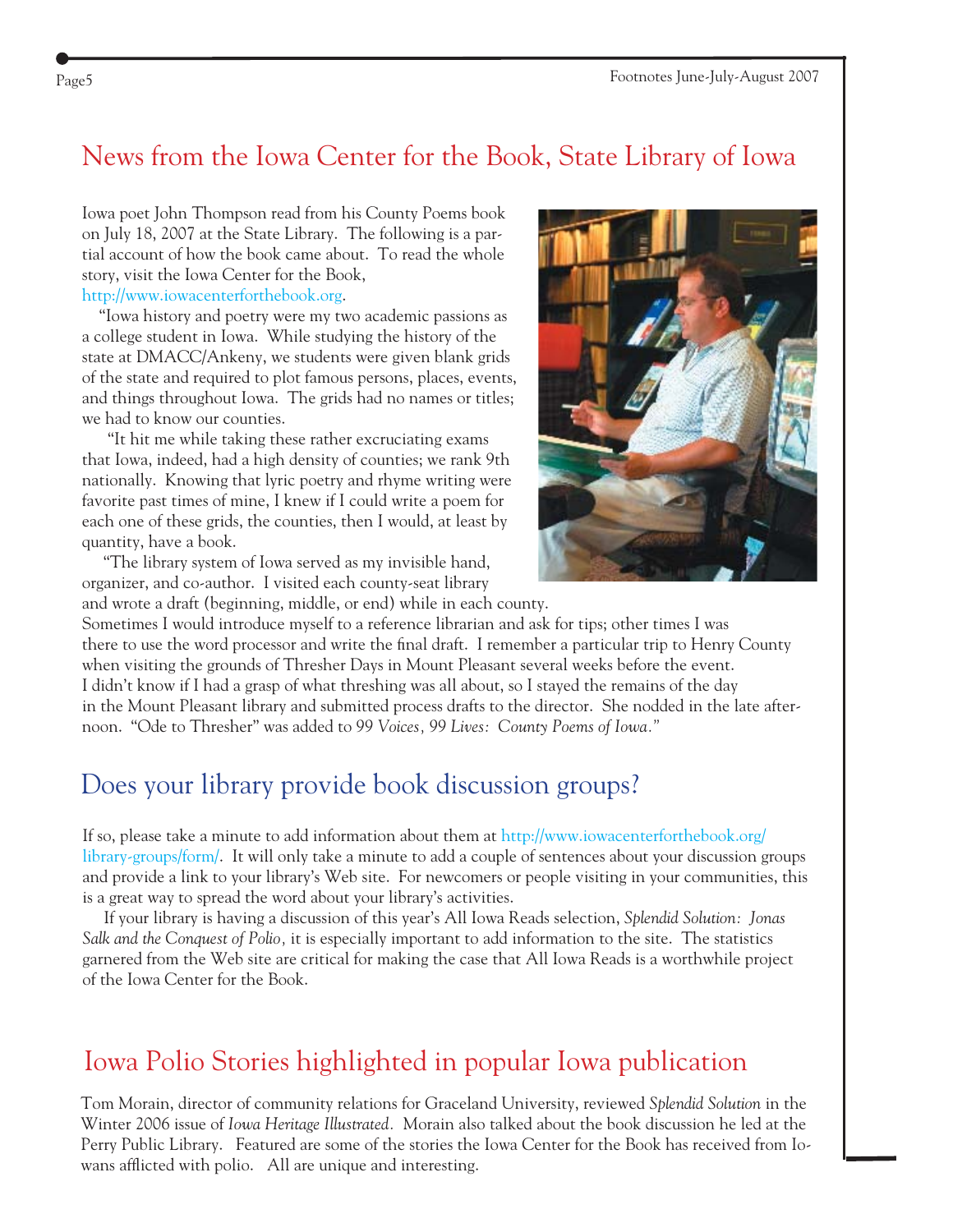### News from the Iowa Center for the Book, State Library of Iowa

Iowa poet John Thompson read from his County Poems book on July 18, 2007 at the State Library. The following is a partial account of how the book came about. To read the whole story, visit the Iowa Center for the Book,

#### [http://www.iowacenterforthebook.org.](http://www.iowacenterforthebook.org)

 "Iowa history and poetry were my two academic passions as a college student in Iowa. While studying the history of the state at DMACC/Ankeny, we students were given blank grids of the state and required to plot famous persons, places, events, and things throughout Iowa. The grids had no names or titles; we had to know our counties.

 "It hit me while taking these rather excruciating exams that Iowa, indeed, had a high density of counties; we rank 9th nationally. Knowing that lyric poetry and rhyme writing were favorite past times of mine, I knew if I could write a poem for each one of these grids, the counties, then I would, at least by quantity, have a book.

 "The library system of Iowa served as my invisible hand, organizer, and co-author. I visited each county-seat library and wrote a draft (beginning, middle, or end) while in each county.



Sometimes I would introduce myself to a reference librarian and ask for tips; other times I was there to use the word processor and write the final draft. I remember a particular trip to Henry County when visiting the grounds of Thresher Days in Mount Pleasant several weeks before the event. I didn't know if I had a grasp of what threshing was all about, so I stayed the remains of the day in the Mount Pleasant library and submitted process drafts to the director. She nodded in the late afternoon. "Ode to Thresher" was added to *99 Voices, 99 Lives: County Poems of Iowa."*

### Does your library provide book discussion groups?

If so, please take a minute to add information about them at<http://www.iowacenterforthebook.org/> [library-groups/form/.](http://www.iowacenterforthebook.org/library-groups/form/) It will only take a minute to add a couple of sentences about your discussion groups and provide a link to your library's Web site. For newcomers or people visiting in your communities, this is a great way to spread the word about your library's activities.

 If your library is having a discussion of this year's All Iowa Reads selection, *Splendid Solution: Jonas Salk and the Conquest of Polio,* it is especially important to add information to the site. The statistics garnered from the Web site are critical for making the case that All Iowa Reads is a worthwhile project of the Iowa Center for the Book.

### Iowa Polio Stories highlighted in popular Iowa publication

Tom Morain, director of community relations for Graceland University, reviewed *Splendid Solution* in the Winter 2006 issue of *Iowa Heritage Illustrated.* Morain also talked about the book discussion he led at the Perry Public Library. Featured are some of the stories the Iowa Center for the Book has received from Iowans afflicted with polio. All are unique and interesting.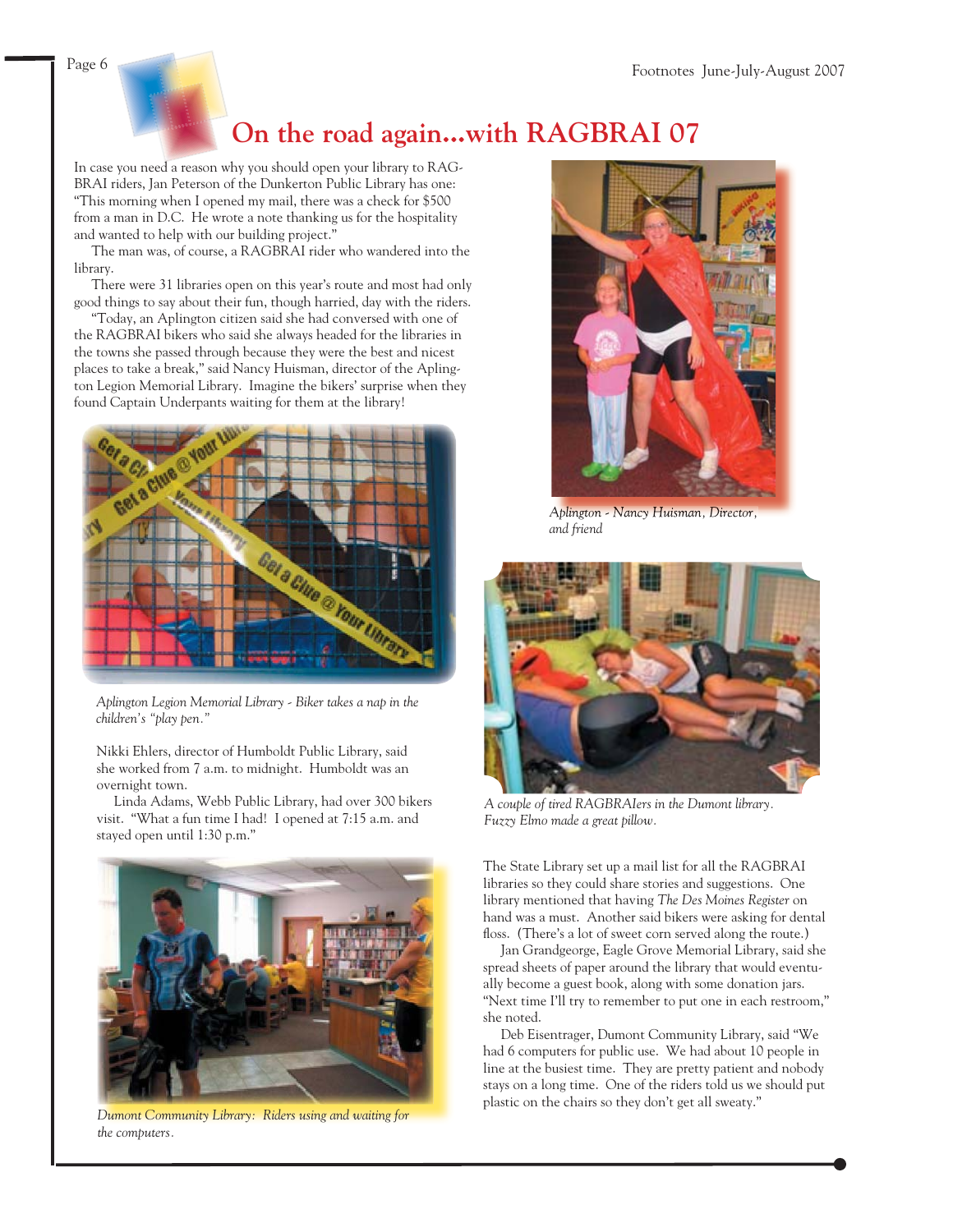

### **On the road again...with RAGBRAI 07**

In case you need a reason why you should open your library to RAG-BRAI riders, Jan Peterson of the Dunkerton Public Library has one: "This morning when I opened my mail, there was a check for \$500 from a man in D.C. He wrote a note thanking us for the hospitality and wanted to help with our building project."

 The man was, of course, a RAGBRAI rider who wandered into the library.

 There were 31 libraries open on this year's route and most had only good things to say about their fun, though harried, day with the riders.

 "Today, an Aplington citizen said she had conversed with one of the RAGBRAI bikers who said she always headed for the libraries in the towns she passed through because they were the best and nicest places to take a break," said Nancy Huisman, director of the Aplington Legion Memorial Library. Imagine the bikers' surprise when they found Captain Underpants waiting for them at the library!



*Aplington Legion Memorial Library - Biker takes a nap in the children's "play pen."* 

Nikki Ehlers, director of Humboldt Public Library, said she worked from 7 a.m. to midnight. Humboldt was an overnight town.

 Linda Adams, Webb Public Library, had over 300 bikers visit. "What a fun time I had! I opened at 7:15 a.m. and stayed open until 1:30 p.m."



*Dumont Community Library: Riders using and waiting for the computers.*



*Aplington - Nancy Huisman, Director, and friend*



*A couple of tired RAGBRAIers in the Dumont library. Fuzzy Elmo made a great pillow.*

The State Library set up a mail list for all the RAGBRAI libraries so they could share stories and suggestions. One library mentioned that having *The Des Moines Register* on hand was a must. Another said bikers were asking for dental floss. (There's a lot of sweet corn served along the route.)

 Jan Grandgeorge, Eagle Grove Memorial Library, said she spread sheets of paper around the library that would eventually become a guest book, along with some donation jars. "Next time I'll try to remember to put one in each restroom," she noted.

 Deb Eisentrager, Dumont Community Library, said "We had 6 computers for public use. We had about 10 people in line at the busiest time. They are pretty patient and nobody stays on a long time. One of the riders told us we should put plastic on the chairs so they don't get all sweaty."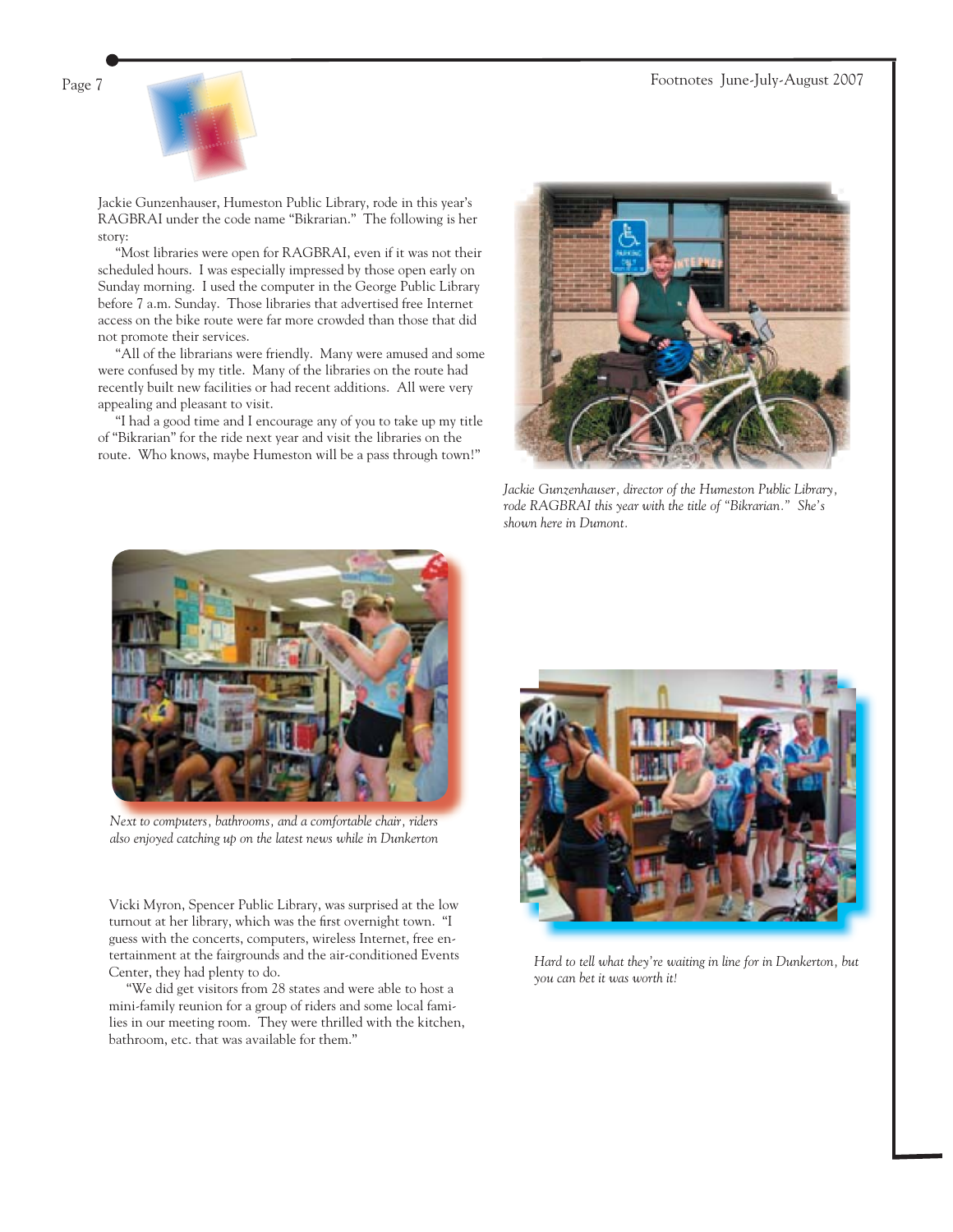

Jackie Gunzenhauser, Humeston Public Library, rode in this year's RAGBRAI under the code name "Bikrarian." The following is her story:

 "Most libraries were open for RAGBRAI, even if it was not their scheduled hours. I was especially impressed by those open early on Sunday morning. I used the computer in the George Public Library before 7 a.m. Sunday. Those libraries that advertised free Internet access on the bike route were far more crowded than those that did not promote their services.

 "All of the librarians were friendly. Many were amused and some were confused by my title. Many of the libraries on the route had recently built new facilities or had recent additions. All were very appealing and pleasant to visit.

 "I had a good time and I encourage any of you to take up my title of "Bikrarian" for the ride next year and visit the libraries on the route. Who knows, maybe Humeston will be a pass through town!"



*Jackie Gunzenhauser, director of the Humeston Public Library, rode RAGBRAI this year with the title of "Bikrarian." She's shown here in Dumont.*



*Next to computers, bathrooms, and a comfortable chair, riders also enjoyed catching up on the latest news while in Dunkerton*

Vicki Myron, Spencer Public Library, was surprised at the low turnout at her library, which was the first overnight town. "I guess with the concerts, computers, wireless Internet, free entertainment at the fairgrounds and the air-conditioned Events Center, they had plenty to do.

 "We did get visitors from 28 states and were able to host a mini-family reunion for a group of riders and some local families in our meeting room. They were thrilled with the kitchen, bathroom, etc. that was available for them."



*Hard to tell what they're waiting in line for in Dunkerton, but you can bet it was worth it!*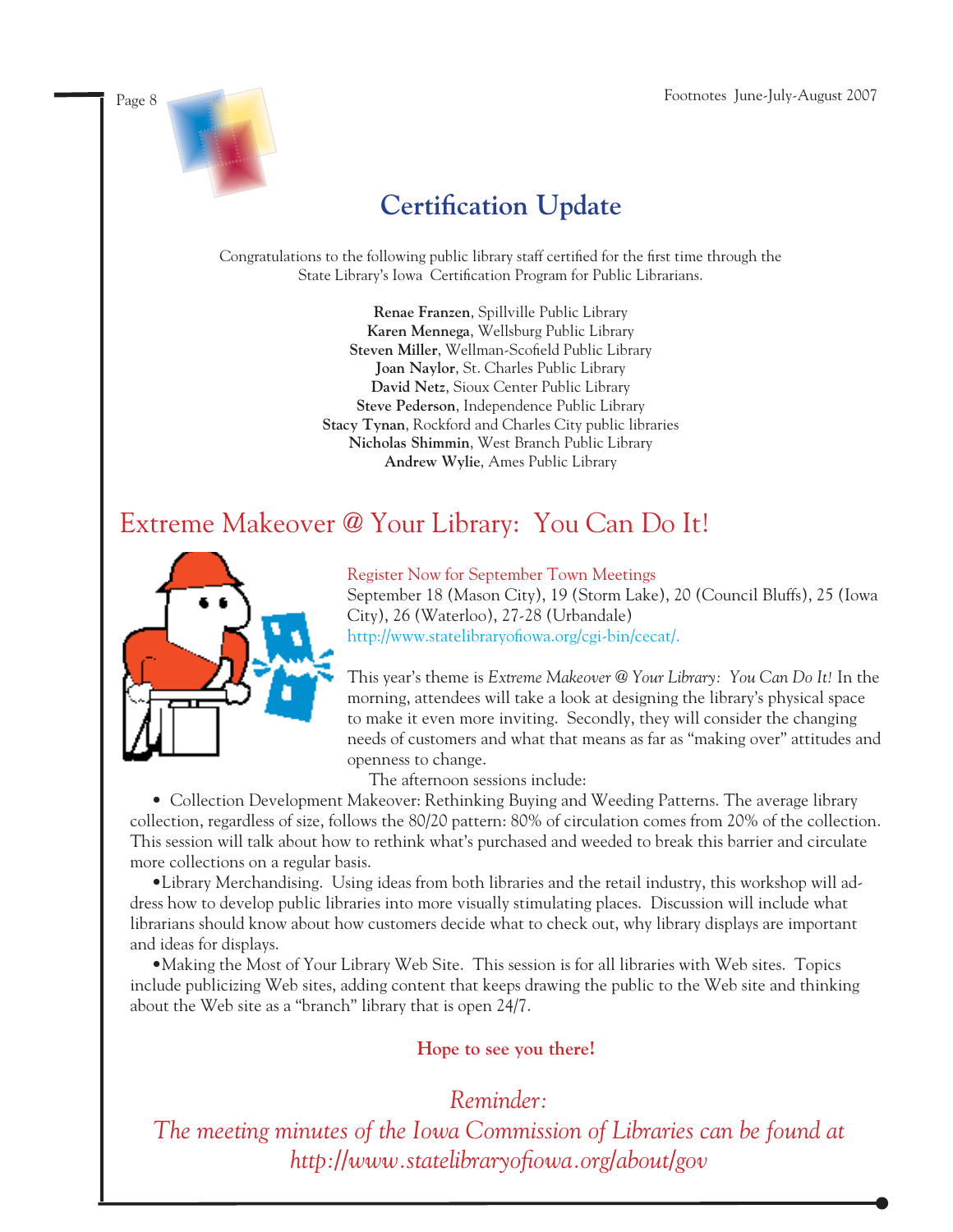

## **Certification Update**

Congratulations to the following public library staff certified for the first time through the State Library's Iowa Certification Program for Public Librarians.

> **Renae Franzen**, Spillville Public Library **Karen Mennega**, Wellsburg Public Library Steven Miller, Wellman-Scofield Public Library **Joan Naylor**, St. Charles Public Library **David Netz**, Sioux Center Public Library **Steve Pederson**, Independence Public Library **Stacy Tynan**, Rockford and Charles City public libraries **Nicholas Shimmin**, West Branch Public Library **Andrew Wylie**, Ames Public Library

### Extreme Makeover @ Your Library: You Can Do It!



Register Now for September Town Meetings September 18 (Mason City), 19 (Storm Lake), 20 (Council Bluffs), 25 (Iowa City), 26 (Waterloo), 27-28 (Urbandale) http://www.statelibraryofiowa.org/cgi-bin/cecat/.

This year's theme is *Extreme Makeover @ Your Library: You Can Do It!* In the morning, attendees will take a look at designing the library's physical space to make it even more inviting. Secondly, they will consider the changing needs of customers and what that means as far as "making over" attitudes and openness to change.

The afternoon sessions include:

 • Collection Development Makeover: Rethinking Buying and Weeding Patterns. The average library collection, regardless of size, follows the 80/20 pattern: 80% of circulation comes from 20% of the collection. This session will talk about how to rethink what's purchased and weeded to break this barrier and circulate more collections on a regular basis.

 •Library Merchandising. Using ideas from both libraries and the retail industry, this workshop will address how to develop public libraries into more visually stimulating places. Discussion will include what librarians should know about how customers decide what to check out, why library displays are important and ideas for displays.

 •Making the Most of Your Library Web Site. This session is for all libraries with Web sites. Topics include publicizing Web sites, adding content that keeps drawing the public to the Web site and thinking about the Web site as a "branch" library that is open 24/7.

#### **Hope to see you there!**

*Reminder:* 

*The meeting minutes of the Iowa Commission of Libraries can be found at http://www.statelibraryofi owa.org/about/gov*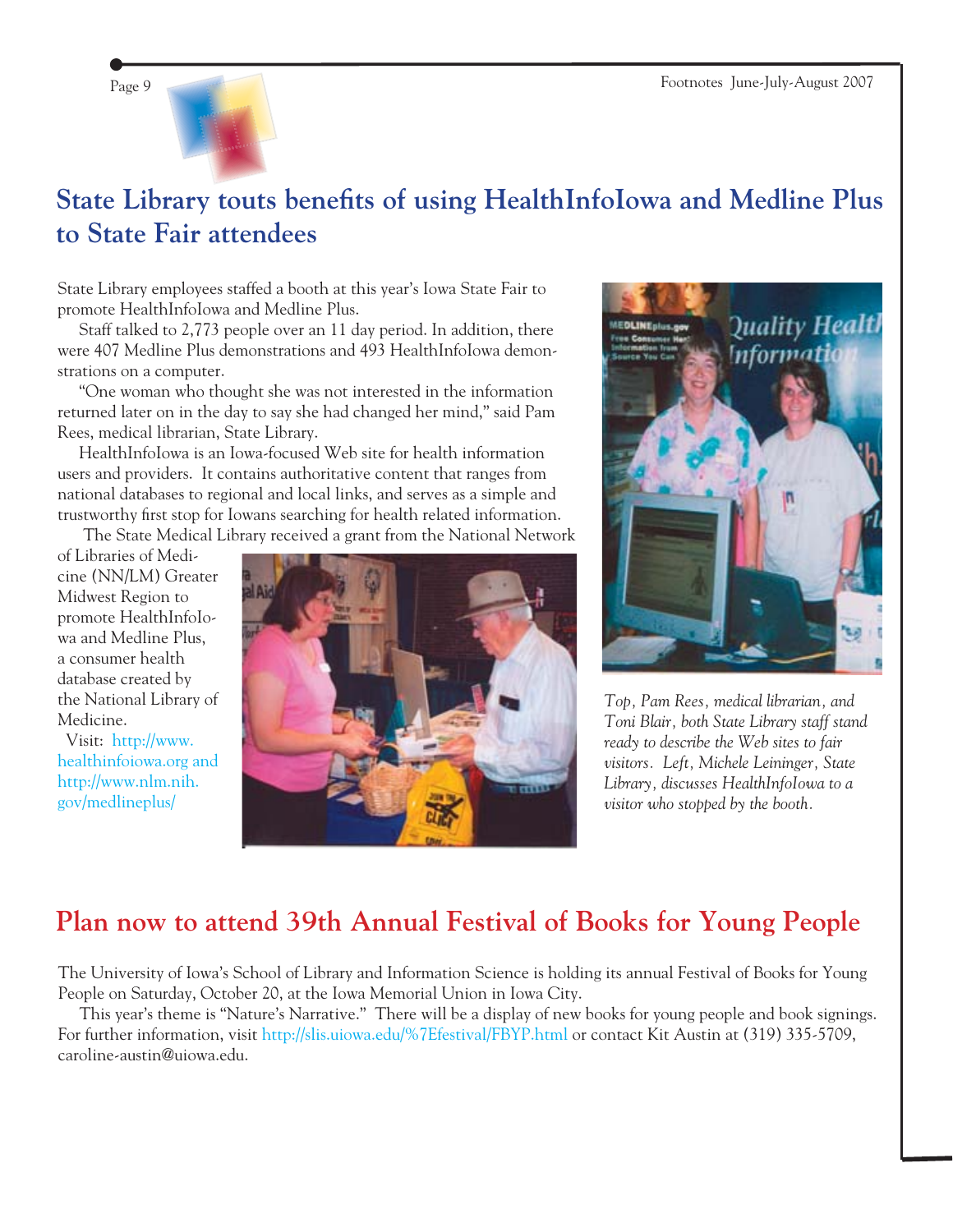

### **State Library touts benefits of using HealthInfoIowa and Medline Plus to State Fair attendees**

State Library employees staffed a booth at this year's Iowa State Fair to promote HealthInfoIowa and Medline Plus.

 Staff talked to 2,773 people over an 11 day period. In addition, there were 407 Medline Plus demonstrations and 493 HealthInfoIowa demonstrations on a computer.

 "One woman who thought she was not interested in the information returned later on in the day to say she had changed her mind," said Pam Rees, medical librarian, State Library.

 HealthInfoIowa is an Iowa-focused Web site for health information users and providers. It contains authoritative content that ranges from national databases to regional and local links, and serves as a simple and trustworthy first stop for Iowans searching for health related information.

The State Medical Library received a grant from the National Network

of Libraries of Medicine (NN/LM) Greater Midwest Region to promote HealthInfoIowa and Medline Plus, a consumer health database created by the National Library of Medicine.

 Visit: [http://www.](http://www.healthinfoiowa.org) [healthinfoiowa.org](http://www.healthinfoiowa.org) and [http://www.nlm.nih.](http://www.nlm.nih.gov/medlineplus/) [gov/medlineplus/](http://www.nlm.nih.gov/medlineplus/)





*Top, Pam Rees, medical librarian, and Toni Blair, both State Library staff stand ready to describe the Web sites to fair visitors. Left, Michele Leininger, State Library, discusses HealthInfoIowa to a visitor who stopped by the booth.*

### **Plan now to attend 39th Annual Festival of Books for Young People**

The University of Iowa's School of Library and Information Science is holding its annual Festival of Books for Young People on Saturday, October 20, at the Iowa Memorial Union in Iowa City.

 This year's theme is "Nature's Narrative." There will be a display of new books for young people and book signings. For further information, visit http://slis.uiowa.edu/%7Efestival/FBYP.html or contact Kit Austin at (319) 335-5709, caroline-austin@uiowa.edu.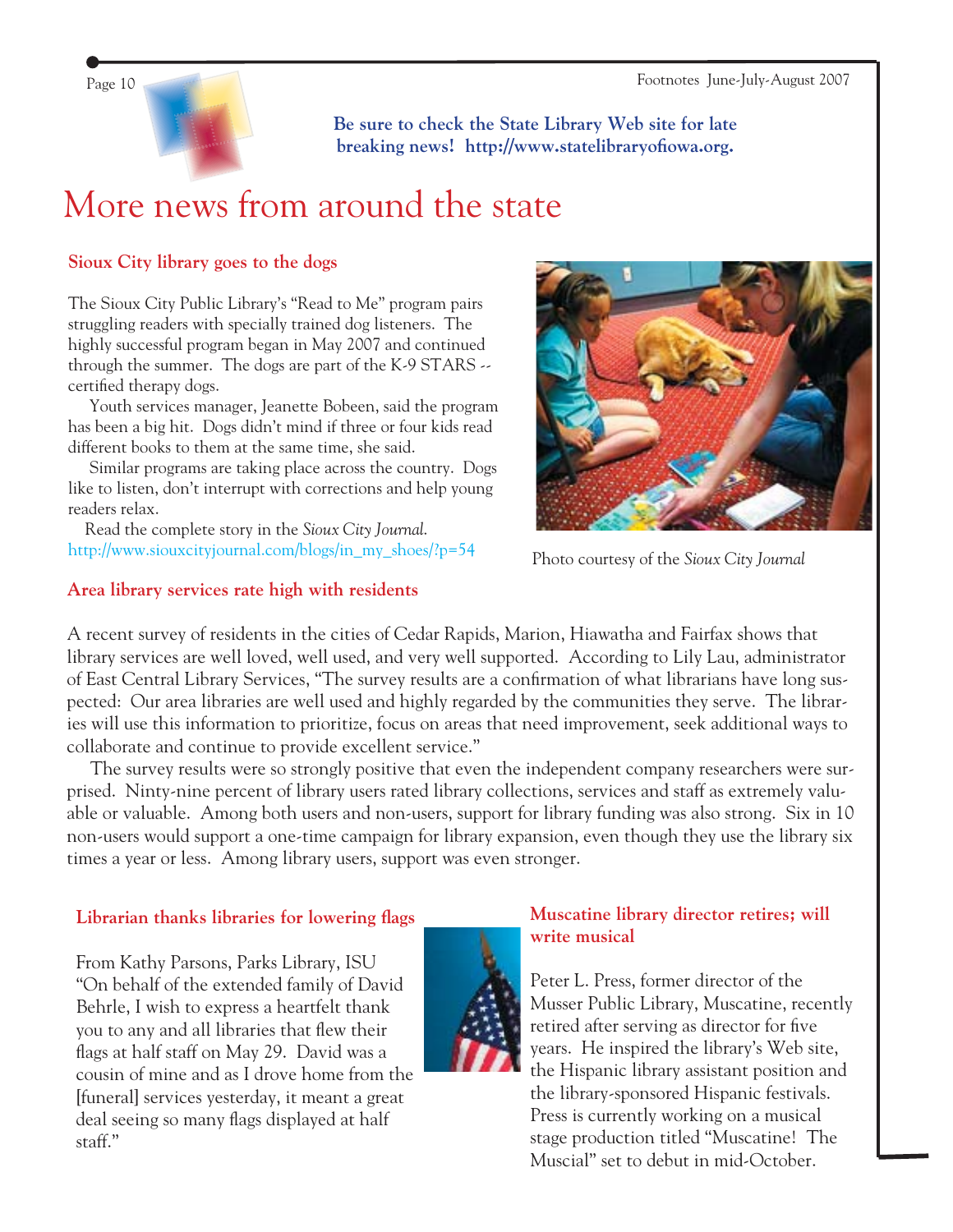

**Be sure to check the State Library Web site for late**  breaking news! http://www.statelibraryofiowa.org.

# More news from around the state

#### **Sioux City library goes to the dogs**

The Sioux City Public Library's "Read to Me" program pairs struggling readers with specially trained dog listeners. The highly successful program began in May 2007 and continued through the summer. The dogs are part of the K-9 STARS - certified therapy dogs.

 Youth services manager, Jeanette Bobeen, said the program has been a big hit. Dogs didn't mind if three or four kids read different books to them at the same time, she said.

 Similar programs are taking place across the country. Dogs like to listen, don't interrupt with corrections and help young readers relax.

 Read the complete story in the *Sioux City Journal*. [http://www.siouxcityjournal.com/blogs/in\\_my\\_shoes/?p=54](http://www.siouxcityjournal.com/blogs/in_my_shoes/?p=54)



Photo courtesy of the *Sioux City Journal*

#### **Area library services rate high with residents**

A recent survey of residents in the cities of Cedar Rapids, Marion, Hiawatha and Fairfax shows that library services are well loved, well used, and very well supported. According to Lily Lau, administrator of East Central Library Services, "The survey results are a confirmation of what librarians have long suspected: Our area libraries are well used and highly regarded by the communities they serve. The libraries will use this information to prioritize, focus on areas that need improvement, seek additional ways to collaborate and continue to provide excellent service."

 The survey results were so strongly positive that even the independent company researchers were surprised. Ninty-nine percent of library users rated library collections, services and staff as extremely valuable or valuable. Among both users and non-users, support for library funding was also strong. Six in 10 non-users would support a one-time campaign for library expansion, even though they use the library six times a year or less. Among library users, support was even stronger.

#### Librarian thanks libraries for lowering flags

From Kathy Parsons, Parks Library, ISU "On behalf of the extended family of David Behrle, I wish to express a heartfelt thank you to any and all libraries that flew their flags at half staff on May 29. David was a cousin of mine and as I drove home from the [funeral] services yesterday, it meant a great deal seeing so many flags displayed at half staff."

#### **Muscatine library director retires; will write musical**

Peter L. Press, former director of the Musser Public Library, Muscatine, recently retired after serving as director for five years. He inspired the library's Web site, the Hispanic library assistant position and the library-sponsored Hispanic festivals. Press is currently working on a musical stage production titled "Muscatine! The Muscial" set to debut in mid-October.